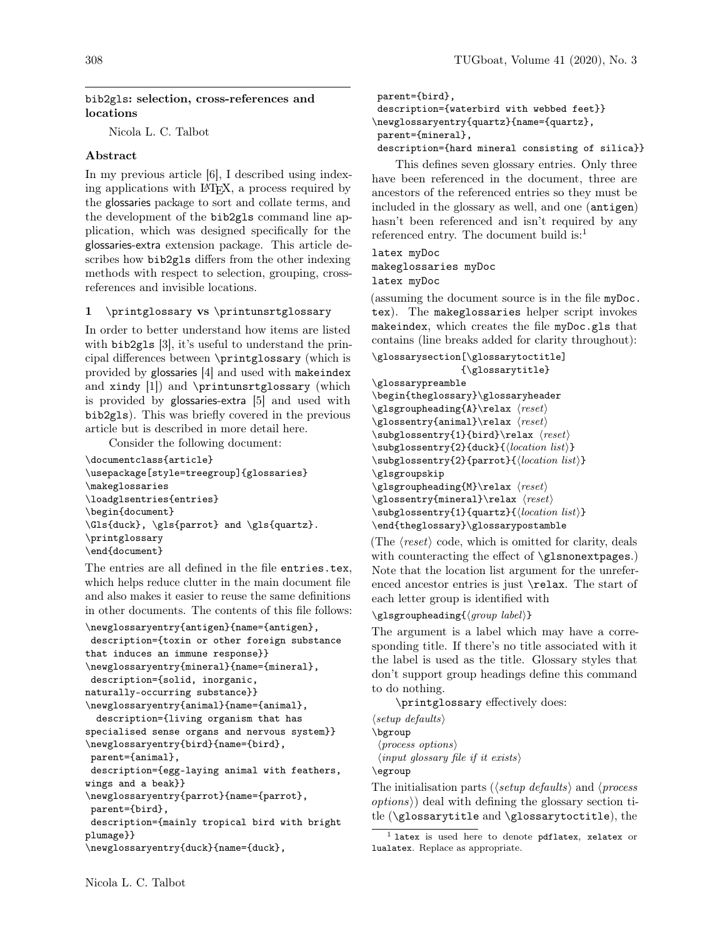### bib2gls: selection, cross-references and locations

Nicola L. C. Talbot

## Abstract

In my previous article [\[6\]](#page-8-0), I described using indexing applications with LATEX, a process required by the glossaries package to sort and collate terms, and the development of the bib2gls command line application, which was designed specifically for the glossaries-extra extension package. This article describes how bib2gls differs from the other indexing methods with respect to selection, grouping, crossreferences and invisible locations.

### 1 \printglossary vs \printunsrtglossary

In order to better understand how items are listed with bib2gls [\[3\]](#page-8-1), it's useful to understand the principal differences between \printglossary (which is provided by glossaries [\[4\]](#page-8-2) and used with makeindex and xindy [\[1\]](#page-8-3)) and \printunsrtglossary (which is provided by glossaries-extra [\[5\]](#page-8-4) and used with bib2gls). This was briefly covered in the previous article but is described in more detail here.

Consider the following document:

```
\documentclass{article}
\usepackage[style=treegroup]{glossaries}
\makeglossaries
\loadglsentries{entries}
\begin{document}
\Gls{duck}, \gls{parrot} and \gls{quartz}.
\printglossary
\end{document}
```
The entries are all defined in the file entries.tex, which helps reduce clutter in the main document file and also makes it easier to reuse the same definitions in other documents. The contents of this file follows:

```
\newglossaryentry{antigen}{name={antigen},
```

```
description={toxin or other foreign substance
that induces an immune response}}
\newglossaryentry{mineral}{name={mineral},
description={solid, inorganic,
naturally-occurring substance}}
\newglossaryentry{animal}{name={animal},
  description={living organism that has
specialised sense organs and nervous system}}
\newglossaryentry{bird}{name={bird},
parent={animal},
description={egg-laying animal with feathers,
wings and a beak}}
\newglossaryentry{parrot}{name={parrot},
parent={bird},
description={mainly tropical bird with bright
plumage}}
```

```
\newglossaryentry{duck}{name={duck},
```

```
parent={bird},
description={waterbird with webbed feet}}
\newglossaryentry{quartz}{name={quartz},
parent={mineral},
description={hard mineral consisting of silica}}
```
This defines seven glossary entries. Only three have been referenced in the document, three are ancestors of the referenced entries so they must be included in the glossary as well, and one (antigen) hasn't been referenced and isn't required by any referenced entry. The document build is: $<sup>1</sup>$  $<sup>1</sup>$  $<sup>1</sup>$ </sup>

## latex myDoc makeglossaries myDoc latex myDoc

(assuming the document source is in the file myDoc. tex). The makeglossaries helper script invokes makeindex, which creates the file myDoc.gls that contains (line breaks added for clarity throughout):

```
\glossarysection[\glossarytoctitle]
```

```
{\glossarytitle}
\glossarypreamble
\begin{theglossary}\glossaryheader
\gtrsimflsgroupheading{A}\relax \langle \text{reset} \rangle\gtrsim \frac{\text{animal}}\text{real}\substack{\text{1}{\text{red}}\text{ } \text{reset}}\substack{\text{label}{\odot}(\text{location list})}\substack{\substack{\text{cl}(location list)}}\glsgroupskip
\glsgroupheading{M}\relax \langlereset}
\gtrsim for \frac{m}{n} \relax \relax \langle\substack{\text{lust}(location list)}\end{theglossary}\glossarypostamble
```
(The  $\langle reset \rangle$  code, which is omitted for clarity, deals with counteracting the effect of \glsnonextpages.) Note that the location list argument for the unreferenced ancestor entries is just \relax. The start of each letter group is identified with

### $\gtrsim$ glsgroupheading{ $\langle qroup \ label \rangle$ }

The argument is a label which may have a corresponding title. If there's no title associated with it the label is used as the title. Glossary styles that don't support group headings define this command to do nothing.

\printglossary effectively does:

 $\langle setup \ definults \rangle$ \bgroup  $\langle process \text{ options} \rangle$  $\langle input \, glossary \, file \, if \, it \, exists \rangle$ 

\egroup

The initialisation parts ( $\langle setup \ defaults \rangle$  and  $\langle process$  $options)$  deal with defining the glossary section title (\glossarytitle and \glossarytoctitle), the

<span id="page-0-0"></span> $<sup>1</sup>$  latex is used here to denote pdflatex, xelatex or</sup> lualatex. Replace as appropriate.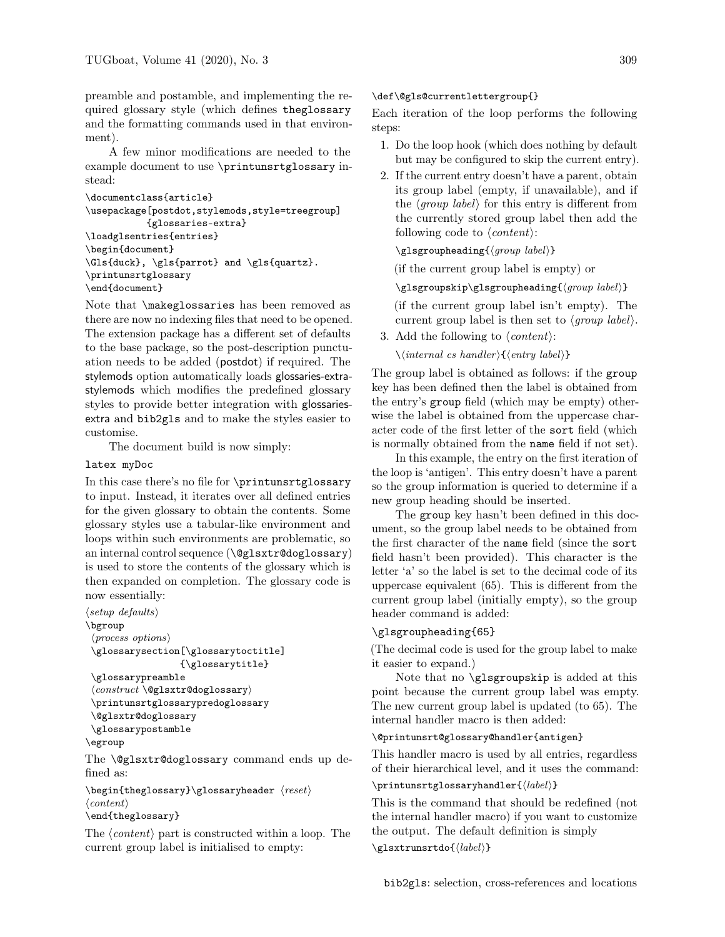preamble and postamble, and implementing the required glossary style (which defines theglossary and the formatting commands used in that environment).

A few minor modifications are needed to the example document to use \printunsrtglossary instead:

```
\documentclass{article}
\usepackage[postdot,stylemods,style=treegroup]
           {glossaries-extra}
\loadglsentries{entries}
\begin{document}
\Gls{duck}, \gls{parrot} and \gls{quartz}.
\printunsrtglossary
\end{document}
```
Note that \makeglossaries has been removed as there are now no indexing files that need to be opened. The extension package has a different set of defaults to the base package, so the post-description punctuation needs to be added (postdot) if required. The stylemods option automatically loads glossaries-extrastylemods which modifies the predefined glossary styles to provide better integration with glossariesextra and bib2gls and to make the styles easier to customise.

The document build is now simply:

### latex myDoc

In this case there's no file for \printunsrtglossary to input. Instead, it iterates over all defined entries for the given glossary to obtain the contents. Some glossary styles use a tabular-like environment and loops within such environments are problematic, so an internal control sequence (\@glsxtr@doglossary) is used to store the contents of the glossary which is then expanded on completion. The glossary code is now essentially:

```
\langle setup \; defaults \rangle\bgroup
 \langle process~options \rangle\glossarysection[\glossarytoctitle]
                        {\glossarytitle}
 \glossarypreamble
 \langle construct \ \text{Qglsxtr@doglossary}\rangle
```

```
\printunsrtglossarypredoglossary
\@glsxtr@doglossary
```

```
\glossarypostamble
```

```
\egroup
```
The **\@glsxtr@doglossary** command ends up defined as:

 $\begin{array}{c}\n\begin{array}{c}\n\text{best}\n\end{array}$  $\langle content \rangle$ 

### \end{theglossary}

The  $\langle content \rangle$  part is constructed within a loop. The current group label is initialised to empty:

### \def\@gls@currentlettergroup{}

Each iteration of the loop performs the following steps:

- 1. Do the loop hook (which does nothing by default but may be configured to skip the current entry).
- <span id="page-1-0"></span>2. If the current entry doesn't have a parent, obtain its group label (empty, if unavailable), and if the  $\langle qroup \; label \rangle$  for this entry is different from the currently stored group label then add the following code to  $\langle content \rangle$ :

```
\gtrsim {\langle qroup \ label \rangle}
```
(if the current group label is empty) or

\glsgroupskip\glsgroupheading $\langle group \ label \rangle$ }

(if the current group label isn't empty). The current group label is then set to  $\langle qroup \ label \rangle$ .

3. Add the following to  $\langle content \rangle$ :

 $\setminus \langle internal \; cs \; handler \rangle {\langle entry \; label \rangle}$ 

The group label is obtained as follows: if the group key has been defined then the label is obtained from the entry's group field (which may be empty) otherwise the label is obtained from the uppercase character code of the first letter of the sort field (which is normally obtained from the name field if not set).

In this example, the entry on the first iteration of the loop is 'antigen'. This entry doesn't have a parent so the group information is queried to determine if a new group heading should be inserted.

The group key hasn't been defined in this document, so the group label needs to be obtained from the first character of the name field (since the sort field hasn't been provided). This character is the letter 'a' so the label is set to the decimal code of its uppercase equivalent (65). This is different from the current group label (initially empty), so the group header command is added:

### \glsgroupheading{65}

(The decimal code is used for the group label to make it easier to expand.)

Note that no \glsgroupskip is added at this point because the current group label was empty. The new current group label is updated (to 65). The internal handler macro is then added:

### \@printunsrt@glossary@handler{antigen}

This handler macro is used by all entries, regardless of their hierarchical level, and it uses the command:

### \printunsrtglossaryhandler ${\langle label \rangle}$

This is the command that should be redefined (not the internal handler macro) if you want to customize the output. The default definition is simply  $\left\{\langle label \rangle\right\}$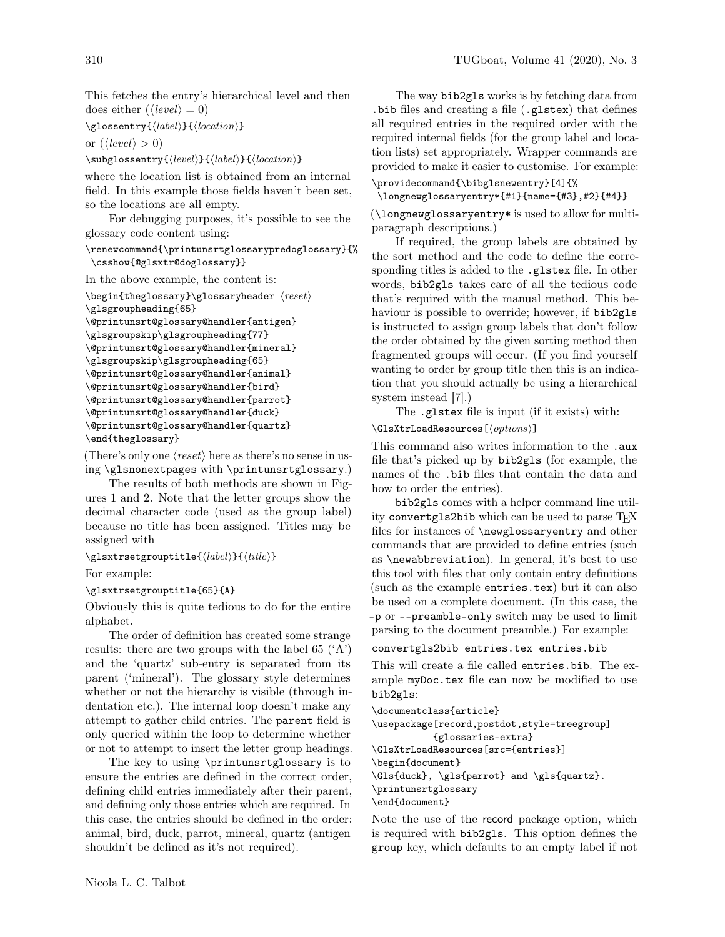This fetches the entry's hierarchical level and then does either  $(\langle level \rangle = 0)$ 

```
\gtrsim {\displainty{\label}}{\location}}
```
or  $(\langle level \rangle > 0)$ 

 $\substack{\substack{\text{(level)}}{l(label)}{\color{blue}\{location\}}$ 

where the location list is obtained from an internal field. In this example those fields haven't been set, so the locations are all empty.

For debugging purposes, it's possible to see the glossary code content using:

### \renewcommand{\printunsrtglossarypredoglossary}{% \csshow{@glsxtr@doglossary}}

In the above example, the content is:

```
\begin{array}{c}\n\begin{array}{c}\n\text{test}\n\end{array}\glsgroupheading{65}
\@printunsrt@glossary@handler{antigen}
\glsgroupskip\glsgroupheading{77}
\@printunsrt@glossary@handler{mineral}
\glsgroupskip\glsgroupheading{65}
\@printunsrt@glossary@handler{animal}
\@printunsrt@glossary@handler{bird}
\@printunsrt@glossary@handler{parrot}
\@printunsrt@glossary@handler{duck}
\@printunsrt@glossary@handler{quartz}
\end{theglossary}
```
(There's only one  $\langle reset \rangle$  here as there's no sense in using \glsnonextpages with \printunsrtglossary.)

The results of both methods are shown in Figures [1](#page-4-0) and [2.](#page-4-1) Note that the letter groups show the decimal character code (used as the group label) because no title has been assigned. Titles may be assigned with

 $\gtrsim$ glsxtrsetgrouptitle{ $\langle label \rangle$ }{ $\langle title \rangle$ }

For example:

## \glsxtrsetgrouptitle{65}{A}

Obviously this is quite tedious to do for the entire alphabet.

The order of definition has created some strange results: there are two groups with the label 65  $(A')$ and the 'quartz' sub-entry is separated from its parent ('mineral'). The glossary style determines whether or not the hierarchy is visible (through indentation etc.). The internal loop doesn't make any attempt to gather child entries. The parent field is only queried within the loop to determine whether or not to attempt to insert the letter group headings.

The key to using \printunsrtglossary is to ensure the entries are defined in the correct order, defining child entries immediately after their parent, and defining only those entries which are required. In this case, the entries should be defined in the order: animal, bird, duck, parrot, mineral, quartz (antigen shouldn't be defined as it's not required).

The way bib2gls works is by fetching data from .bib files and creating a file (.glstex) that defines all required entries in the required order with the required internal fields (for the group label and location lists) set appropriately. Wrapper commands are provided to make it easier to customise. For example:

## \providecommand{\bibglsnewentry}[4]{%

\longnewglossaryentry\*{#1}{name={#3},#2}{#4}}

(\longnewglossaryentry\* is used to allow for multiparagraph descriptions.)

If required, the group labels are obtained by the sort method and the code to define the corresponding titles is added to the .glstex file. In other words, bib2gls takes care of all the tedious code that's required with the manual method. This behaviour is possible to override; however, if bib2gls is instructed to assign group labels that don't follow the order obtained by the given sorting method then fragmented groups will occur. (If you find yourself wanting to order by group title then this is an indication that you should actually be using a hierarchical system instead [\[7\]](#page-8-5).)

The .glstex file is input (if it exists) with:

 $\langle GlsXtrLoadResources[\langle options \rangle]$ 

This command also writes information to the .aux file that's picked up by bib2gls (for example, the names of the .bib files that contain the data and how to order the entries).

bib2gls comes with a helper command line utility convertgls2bib which can be used to parse TFX files for instances of \newglossaryentry and other commands that are provided to define entries (such as \newabbreviation). In general, it's best to use this tool with files that only contain entry definitions (such as the example entries.tex) but it can also be used on a complete document. (In this case, the -p or --preamble-only switch may be used to limit parsing to the document preamble.) For example:

```
convertgls2bib entries.tex entries.bib
```
This will create a file called entries.bib. The example myDoc.tex file can now be modified to use bib2gls:

```
\documentclass{article}
\usepackage[record,postdot,style=treegroup]
           {glossaries-extra}
\GlsXtrLoadResources[src={entries}]
\begin{document}
\Gls{duck}, \gls{parrot} and \gls{quartz}.
\printunsrtglossary
\end{document}
```
Note the use of the record package option, which is required with bib2gls. This option defines the group key, which defaults to an empty label if not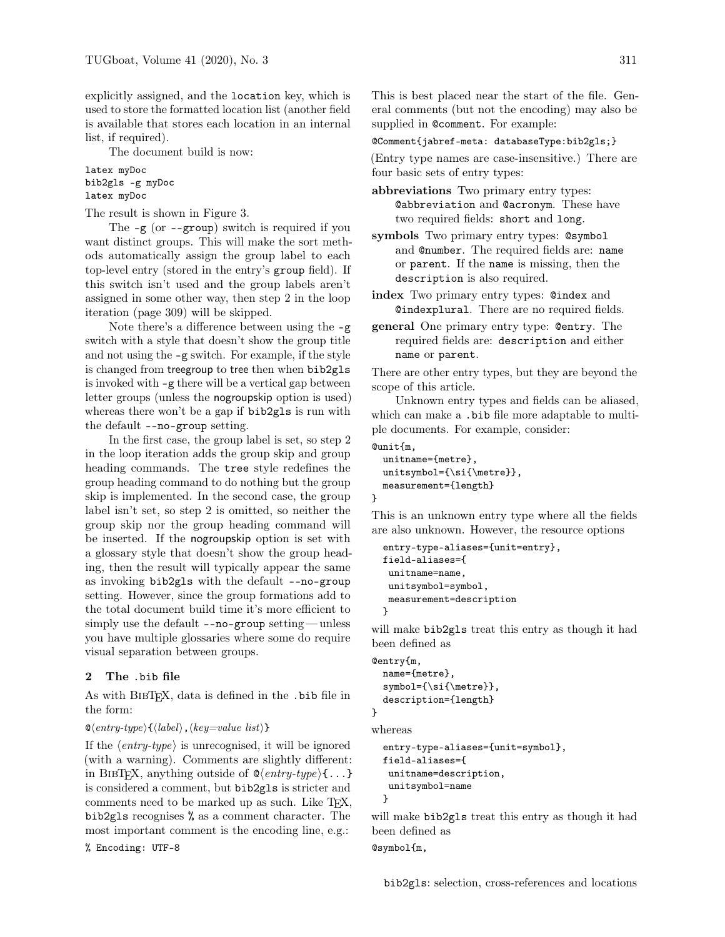explicitly assigned, and the location key, which is used to store the formatted location list (another field is available that stores each location in an internal list, if required).

The document build is now:

latex myDoc bib2gls -g myDoc latex myDoc

The result is shown in Figure [3.](#page-4-2)

The -g (or --group) switch is required if you want distinct groups. This will make the sort methods automatically assign the group label to each top-level entry (stored in the entry's group field). If this switch isn't used and the group labels aren't assigned in some other way, then step [2](#page-1-0) in the loop iteration (page [309\)](#page-1-0) will be skipped.

Note there's a difference between using the  $-g$ switch with a style that doesn't show the group title and not using the -g switch. For example, if the style is changed from treegroup to tree then when bib2gls is invoked with -g there will be a vertical gap between letter groups (unless the nogroupskip option is used) whereas there won't be a gap if bib2gls is run with the default --no-group setting.

In the first case, the group label is set, so step [2](#page-1-0) in the loop iteration adds the group skip and group heading commands. The tree style redefines the group heading command to do nothing but the group skip is implemented. In the second case, the group label isn't set, so step [2](#page-1-0) is omitted, so neither the group skip nor the group heading command will be inserted. If the nogroupskip option is set with a glossary style that doesn't show the group heading, then the result will typically appear the same as invoking bib2gls with the default --no-group setting. However, since the group formations add to the total document build time it's more efficient to simply use the default  $---no-group$  setting — unless you have multiple glossaries where some do require visual separation between groups.

#### 2 The .bib file

As with BibTEX, data is defined in the .bib file in the form:

### $\otimes \langle entry-type \rangle \{\langle label \rangle, \langle key=value\ list \rangle\}$

If the  $\langle entry-type \rangle$  is unrecognised, it will be ignored (with a warning). Comments are slightly different: in BIBTEX, anything outside of  $\mathcal{Q}(entry-type)\{\ldots\}$ is considered a comment, but bib2gls is stricter and comments need to be marked up as such. Like TFX, bib2gls recognises % as a comment character. The most important comment is the encoding line, e.g.:

% Encoding: UTF-8

This is best placed near the start of the file. General comments (but not the encoding) may also be supplied in @comment. For example:

@Comment{jabref-meta: databaseType:bib2gls;}

(Entry type names are case-insensitive.) There are four basic sets of entry types:

- abbreviations Two primary entry types: @abbreviation and @acronym. These have two required fields: short and long.
- symbols Two primary entry types: @symbol and @number. The required fields are: name or parent. If the name is missing, then the description is also required.
- index Two primary entry types: @index and @indexplural. There are no required fields.
- general One primary entry type: @entry. The required fields are: description and either name or parent.

There are other entry types, but they are beyond the scope of this article.

Unknown entry types and fields can be aliased, which can make a .bib file more adaptable to multiple documents. For example, consider:

```
@unit{m,
```

```
unitname={metre},
unitsymbol={\si{\metre}},
measurement={length}
```
}

This is an unknown entry type where all the fields are also unknown. However, the resource options

```
entry-type-aliases={unit=entry},
field-aliases={
 unitname=name,
 unitsymbol=symbol,
 measurement=description
}
```
will make bib2gls treat this entry as though it had been defined as

```
@entry{m,
  name={metre},
  symbol={\si{\metre}},
  description={length}
}
```
whereas

```
entry-type-aliases={unit=symbol},
field-aliases={
 unitname=description,
 unitsymbol=name
}
```
will make bib2gls treat this entry as though it had been defined as @symbol{m,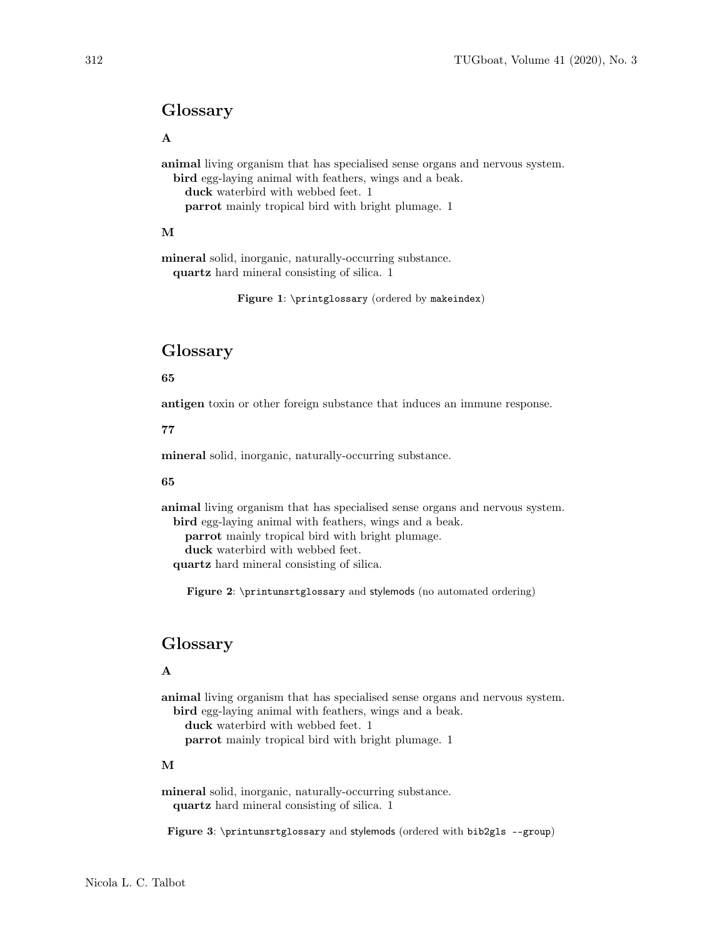## Glossary

A

animal living organism that has specialised sense organs and nervous system.

bird egg-laying animal with feathers, wings and a beak. duck waterbird with webbed feet. 1 parrot mainly tropical bird with bright plumage. 1

### M

mineral solid, inorganic, naturally-occurring substance. quartz hard mineral consisting of silica. 1

<span id="page-4-0"></span>Figure 1: \printglossary (ordered by makeindex)

# Glossary

### 65

antigen toxin or other foreign substance that induces an immune response.

### 77

mineral solid, inorganic, naturally-occurring substance.

### 65

animal living organism that has specialised sense organs and nervous system. bird egg-laying animal with feathers, wings and a beak.

parrot mainly tropical bird with bright plumage. duck waterbird with webbed feet.

quartz hard mineral consisting of silica.

<span id="page-4-1"></span>Figure 2: \printunsrtglossary and stylemods (no automated ordering)

# Glossary

### A

animal living organism that has specialised sense organs and nervous system. bird egg-laying animal with feathers, wings and a beak.

duck waterbird with webbed feet. 1

1 parrot mainly tropical bird with bright plumage. 1

## M

mineral solid, inorganic, naturally-occurring substance. quartz hard mineral consisting of silica. 1

<span id="page-4-2"></span>Figure 3: \printunsrtglossary and stylemods (ordered with bib2gls --group)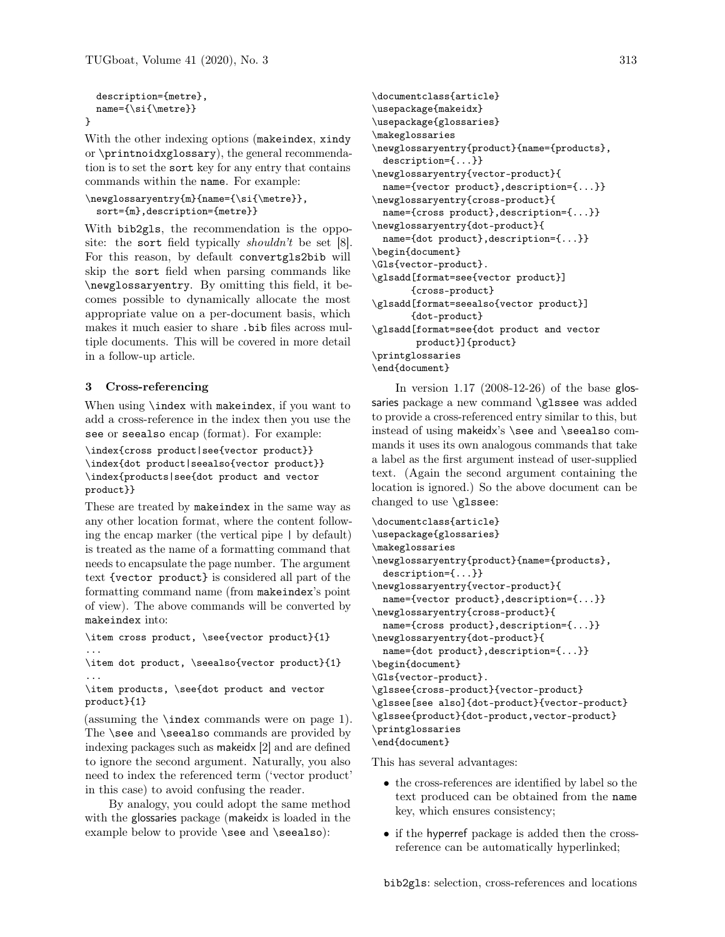```
description={metre},
name={\si{\metre}}
```
}

With the other indexing options (makeindex, xindy or \printnoidxglossary), the general recommendation is to set the sort key for any entry that contains commands within the name. For example:

```
\newglossaryentry{m}{name={\si{\metre}},
  sort={m},description={metre}}
```
With bib2gls, the recommendation is the opposite: the sort field typically *shouldn't* be set [\[8\]](#page-8-6). For this reason, by default convertgls2bib will skip the sort field when parsing commands like \newglossaryentry. By omitting this field, it becomes possible to dynamically allocate the most appropriate value on a per-document basis, which makes it much easier to share .bib files across multiple documents. This will be covered in more detail in a follow-up article.

## 3 Cross-referencing

When using **\index** with makeindex, if you want to add a cross-reference in the index then you use the see or seealso encap (format). For example:

```
\index{cross product|see{vector product}}
\index{dot product|seealso{vector product}}
\index{products|see{dot product and vector
product}}
```
These are treated by makeindex in the same way as any other location format, where the content following the encap marker (the vertical pipe | by default) is treated as the name of a formatting command that needs to encapsulate the page number. The argument text {vector product} is considered all part of the formatting command name (from makeindex's point of view). The above commands will be converted by makeindex into:

```
\item cross product, \see{vector product}{1}
...
```
\item dot product, \seealso{vector product}{1} ...

\item products, \see{dot product and vector product}{1}

(assuming the \index commands were on page 1). The \see and \seealso commands are provided by indexing packages such as makeidx [\[2\]](#page-8-7) and are defined to ignore the second argument. Naturally, you also need to index the referenced term ('vector product' in this case) to avoid confusing the reader.

By analogy, you could adopt the same method with the glossaries package (makeidx is loaded in the example below to provide \see and \seealso):

```
\documentclass{article}
\usepackage{makeidx}
\usepackage{glossaries}
\makeglossaries
\newglossaryentry{product}{name={products},
 description={...}}
\newglossaryentry{vector-product}{
 name={vector product},description={...}}
\newglossaryentry{cross-product}{
 name={cross product},description={...}}
\newglossaryentry{dot-product}{
 name={dot product},description={...}}
\begin{document}
\Gls{vector-product}.
\glsadd[format=see{vector product}]
       {cross-product}
\glsadd[format=seealso{vector product}]
       {dot-product}
\glsadd[format=see{dot product and vector
        product}]{product}
\printglossaries
\end{document}
```
In version 1.17 (2008-12-26) of the base glossaries package a new command \glssee was added to provide a cross-referenced entry similar to this, but instead of using makeidx's \see and \seealso commands it uses its own analogous commands that take a label as the first argument instead of user-supplied text. (Again the second argument containing the location is ignored.) So the above document can be changed to use \glssee:

```
\documentclass{article}
\usepackage{glossaries}
\makeglossaries
\newglossaryentry{product}{name={products},
 description={...}}
\newglossaryentry{vector-product}{
 name={vector product},description={...}}
\newglossaryentry{cross-product}{
 name={cross product},description={...}}
\newglossaryentry{dot-product}{
 name={dot product},description={...}}
\begin{document}
\Gls{vector-product}.
\glssee{cross-product}{vector-product}
\glssee[see also]{dot-product}{vector-product}
\glssee{product}{dot-product,vector-product}
\printglossaries
\end{document}
```
This has several advantages:

- the cross-references are identified by label so the text produced can be obtained from the name key, which ensures consistency;
- if the hyperref package is added then the crossreference can be automatically hyperlinked;

bib2gls: selection, cross-references and locations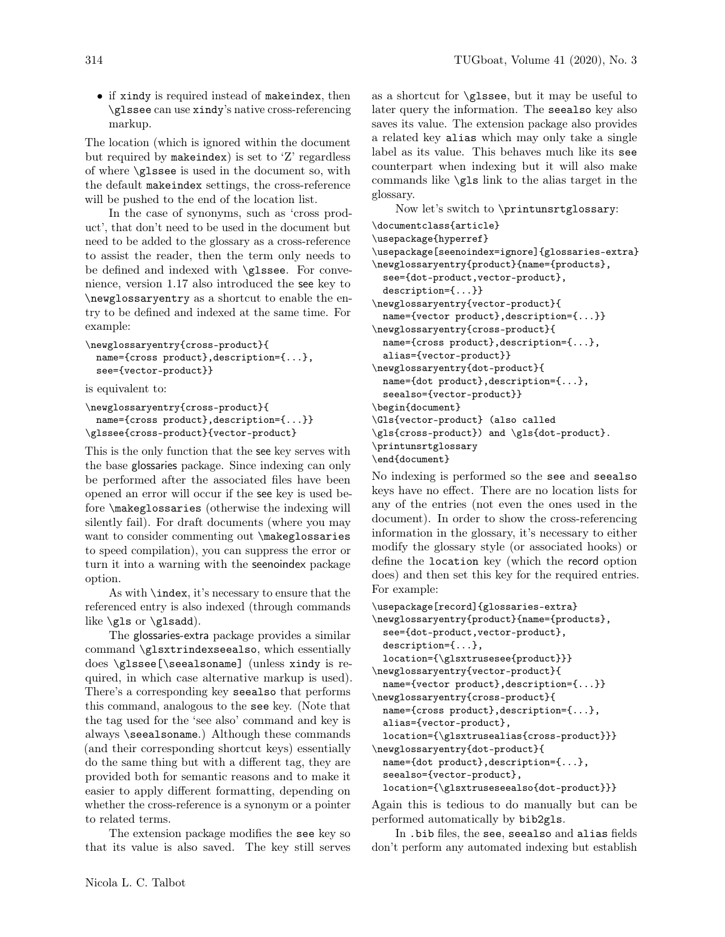• if xindy is required instead of makeindex, then \glssee can use xindy's native cross-referencing markup.

The location (which is ignored within the document but required by makeindex) is set to 'Z' regardless of where \glssee is used in the document so, with the default makeindex settings, the cross-reference will be pushed to the end of the location list.

In the case of synonyms, such as 'cross product', that don't need to be used in the document but need to be added to the glossary as a cross-reference to assist the reader, then the term only needs to be defined and indexed with \glssee. For convenience, version 1.17 also introduced the see key to \newglossaryentry as a shortcut to enable the entry to be defined and indexed at the same time. For example:

```
\newglossaryentry{cross-product}{
 name={cross product},description={...},
  see={vector-product}}
```
is equivalent to:

```
\newglossaryentry{cross-product}{
 name={cross product},description={...}}
\glssee{cross-product}{vector-product}
```
This is the only function that the see key serves with the base glossaries package. Since indexing can only be performed after the associated files have been opened an error will occur if the see key is used before \makeglossaries (otherwise the indexing will silently fail). For draft documents (where you may want to consider commenting out \makeglossaries to speed compilation), you can suppress the error or turn it into a warning with the seenoindex package option.

As with \index, it's necessary to ensure that the referenced entry is also indexed (through commands like \gls or \glsadd).

The glossaries-extra package provides a similar command \glsxtrindexseealso, which essentially does \glssee[\seealsoname] (unless xindy is required, in which case alternative markup is used). There's a corresponding key seealso that performs this command, analogous to the see key. (Note that the tag used for the 'see also' command and key is always \seealsoname.) Although these commands (and their corresponding shortcut keys) essentially do the same thing but with a different tag, they are provided both for semantic reasons and to make it easier to apply different formatting, depending on whether the cross-reference is a synonym or a pointer to related terms.

The extension package modifies the see key so that its value is also saved. The key still serves as a shortcut for \glssee, but it may be useful to later query the information. The seealso key also saves its value. The extension package also provides a related key alias which may only take a single label as its value. This behaves much like its see counterpart when indexing but it will also make commands like \gls link to the alias target in the glossary.

Now let's switch to \printunsrtglossary:

```
\documentclass{article}
\usepackage{hyperref}
\usepackage[seenoindex=ignore]{glossaries-extra}
\newglossaryentry{product}{name={products},
 see={dot-product,vector-product},
 description={...}}
\newglossaryentry{vector-product}{
 name={vector product},description={...}}
\newglossaryentry{cross-product}{
 name={cross product},description={...},
 alias={vector-product}}
\newglossaryentry{dot-product}{
 name={dot product},description={...},
  seealso={vector-product}}
\begin{document}
\Gls{vector-product} (also called
\gls{cross-product}) and \gls{dot-product}.
\printunsrtglossary
\end{document}
```
No indexing is performed so the see and seealso keys have no effect. There are no location lists for any of the entries (not even the ones used in the document). In order to show the cross-referencing information in the glossary, it's necessary to either modify the glossary style (or associated hooks) or define the location key (which the record option does) and then set this key for the required entries. For example:

```
\usepackage[record]{glossaries-extra}
\newglossaryentry{product}{name={products},
 see={dot-product,vector-product},
 description={...},
 location={\glsxtrusesee{product}}}
\newglossaryentry{vector-product}{
 name={vector product},description={...}}
\newglossaryentry{cross-product}{
 name={cross product},description={...},
  alias={vector-product},
 location={\glsxtrusealias{cross-product}}}
\newglossaryentry{dot-product}{
 name={dot product},description={...},
  seealso={vector-product},
 location={\glsxtruseseealso{dot-product}}}
```
Again this is tedious to do manually but can be performed automatically by bib2gls.

In .bib files, the see, seealso and alias fields don't perform any automated indexing but establish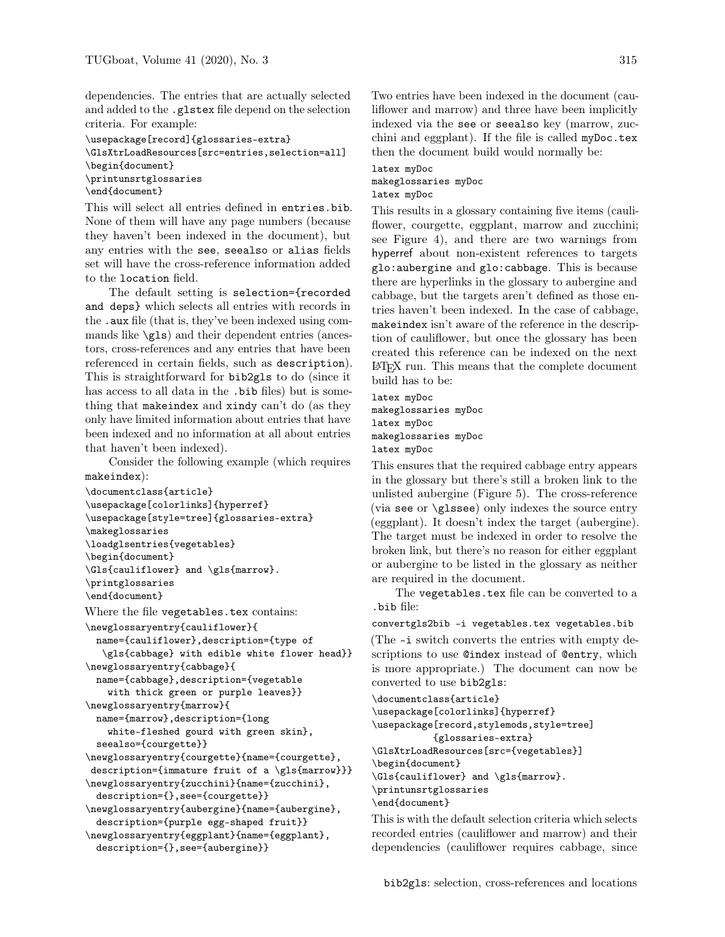dependencies. The entries that are actually selected and added to the .glstex file depend on the selection criteria. For example:

\usepackage[record]{glossaries-extra} \GlsXtrLoadResources[src=entries,selection=all] \begin{document} \printunsrtglossaries \end{document}

This will select all entries defined in entries.bib. None of them will have any page numbers (because they haven't been indexed in the document), but any entries with the see, seealso or alias fields set will have the cross-reference information added to the location field.

The default setting is selection={recorded and deps} which selects all entries with records in the .aux file (that is, they've been indexed using commands like \gls) and their dependent entries (ancestors, cross-references and any entries that have been referenced in certain fields, such as description). This is straightforward for bib2gls to do (since it has access to all data in the .bib files) but is something that makeindex and xindy can't do (as they only have limited information about entries that have been indexed and no information at all about entries that haven't been indexed).

Consider the following example (which requires makeindex):

```
\documentclass{article}
\usepackage[colorlinks]{hyperref}
\usepackage[style=tree]{glossaries-extra}
\makeglossaries
\loadglsentries{vegetables}
\begin{document}
\Gls{cauliflower} and \gls{marrow}.
\printglossaries
\end{document}
```
Where the file vegetables.tex contains:

```
\newglossaryentry{cauliflower}{
 name={cauliflower},description={type of
   \gls{cabbage} with edible white flower head}}
\newglossaryentry{cabbage}{
 name={cabbage},description={vegetable
    with thick green or purple leaves}}
\newglossaryentry{marrow}{
 name={marrow},description={long
    white-fleshed gourd with green skin},
  seealso={courgette}}
\newglossaryentry{courgette}{name={courgette},
description={immature fruit of a \gls{marrow}}}
\newglossaryentry{zucchini}{name={zucchini},
  description={},see={courgette}}
\newglossaryentry{aubergine}{name={aubergine},
 description={purple egg-shaped fruit}}
\newglossaryentry{eggplant}{name={eggplant},
 description={},see={aubergine}}
```
Two entries have been indexed in the document (cauliflower and marrow) and three have been implicitly indexed via the see or seealso key (marrow, zucchini and eggplant). If the file is called myDoc.tex then the document build would normally be:

latex myDoc makeglossaries myDoc latex myDoc

This results in a glossary containing five items (cauliflower, courgette, eggplant, marrow and zucchini; see Figure [4\)](#page-9-0), and there are two warnings from hyperref about non-existent references to targets glo:aubergine and glo:cabbage. This is because there are hyperlinks in the glossary to aubergine and cabbage, but the targets aren't defined as those entries haven't been indexed. In the case of cabbage, makeindex isn't aware of the reference in the description of cauliflower, but once the glossary has been created this reference can be indexed on the next LATEX run. This means that the complete document build has to be:

latex myDoc makeglossaries myDoc latex myDoc makeglossaries myDoc latex myDoc

This ensures that the required cabbage entry appears in the glossary but there's still a broken link to the unlisted aubergine (Figure [5\)](#page-9-1). The cross-reference (via see or \glssee) only indexes the source entry (eggplant). It doesn't index the target (aubergine). The target must be indexed in order to resolve the broken link, but there's no reason for either eggplant or aubergine to be listed in the glossary as neither are required in the document.

The vegetables.tex file can be converted to a .bib file:

convertgls2bib -i vegetables.tex vegetables.bib

(The -i switch converts the entries with empty descriptions to use @index instead of @entry, which is more appropriate.) The document can now be converted to use bib2gls:

\documentclass{article} \usepackage[colorlinks]{hyperref} \usepackage[record,stylemods,style=tree] {glossaries-extra} \GlsXtrLoadResources[src={vegetables}] \begin{document} \Gls{cauliflower} and \gls{marrow}. \printunsrtglossaries \end{document}

This is with the default selection criteria which selects recorded entries (cauliflower and marrow) and their dependencies (cauliflower requires cabbage, since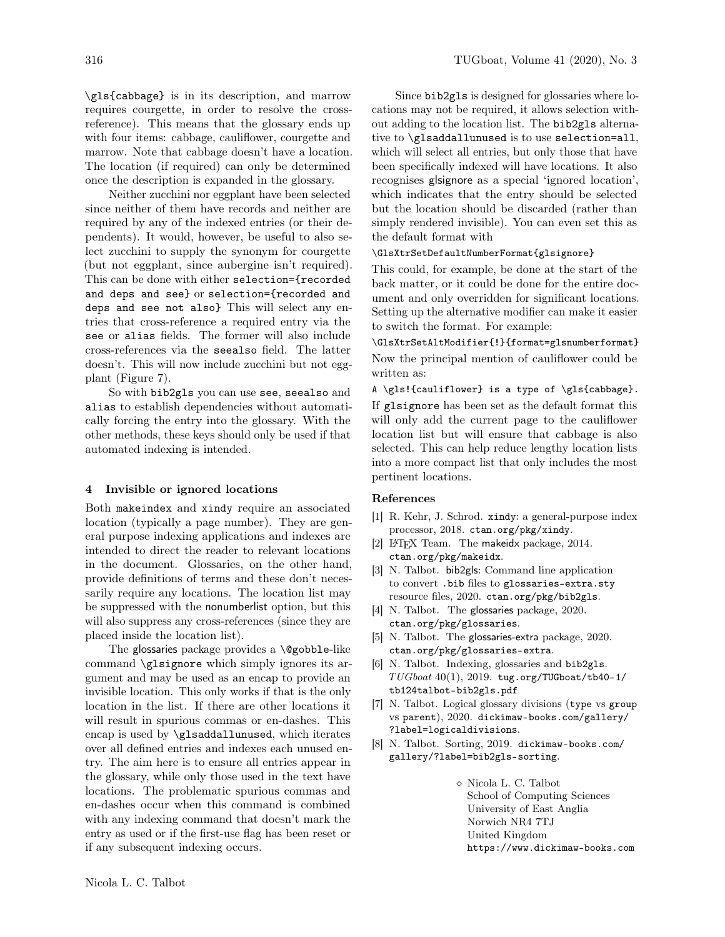\gls{cabbage} is in its description, and marrow requires courgette, in order to resolve the crossreference). This means that the glossary ends up with four items: cabbage, cauliflower, courgette and marrow. Note that cabbage doesn't have a location. The location (if required) can only be determined once the description is expanded in the glossary.

Neither zucchini nor eggplant have been selected since neither of them have records and neither are required by any of the indexed entries (or their dependents). It would, however, be useful to also select zucchini to supply the synonym for courgette (but not eggplant, since aubergine isn't required). This can be done with either selection={recorded and deps and see} or selection={recorded and deps and see not also} This will select any entries that cross-reference a required entry via the see or alias fields. The former will also include cross-references via the seealso field. The latter doesn't. This will now include zucchini but not eggplant (Figure [7\)](#page-9-2).

So with bib2gls you can use see, seealso and alias to establish dependencies without automatically forcing the entry into the glossary. With the other methods, these keys should only be used if that automated indexing is intended.

#### 4 Invisible or ignored locations

Both makeindex and xindy require an associated location (typically a page number). They are general purpose indexing applications and indexes are intended to direct the reader to relevant locations in the document. Glossaries, on the other hand, provide definitions of terms and these don't necessarily require any locations. The location list may be suppressed with the nonumberlist option, but this will also suppress any cross-references (since they are placed inside the location list).

The glossaries package provides a \@gobble-like command \glsignore which simply ignores its argument and may be used as an encap to provide an invisible location. This only works if that is the only location in the list. If there are other locations it will result in spurious commas or en-dashes. This encap is used by \glsaddallunused, which iterates over all defined entries and indexes each unused entry. The aim here is to ensure all entries appear in the glossary, while only those used in the text have locations. The problematic spurious commas and en-dashes occur when this command is combined with any indexing command that doesn't mark the entry as used or if the first-use flag has been reset or if any subsequent indexing occurs.

Since bib2gls is designed for glossaries where locations may not be required, it allows selection without adding to the location list. The bib2gls alternative to \glsaddallunused is to use selection=all, which will select all entries, but only those that have been specifically indexed will have locations. It also recognises glsignore as a special 'ignored location', which indicates that the entry should be selected but the location should be discarded (rather than simply rendered invisible). You can even set this as the default format with

### \GlsXtrSetDefaultNumberFormat{glsignore}

This could, for example, be done at the start of the back matter, or it could be done for the entire document and only overridden for significant locations. Setting up the alternative modifier can make it easier to switch the format. For example:

\GlsXtrSetAltModifier{!}{format=glsnumberformat} Now the principal mention of cauliflower could be written as:

A \gls!{cauliflower} is a type of \gls{cabbage}. If glsignore has been set as the default format this will only add the current page to the cauliflower location list but will ensure that cabbage is also selected. This can help reduce lengthy location lists into a more compact list that only includes the most pertinent locations.

#### References

- <span id="page-8-3"></span>[1] R. Kehr, J. Schrod. xindy: a general-purpose index processor, 2018. [ctan.org/pkg/xindy](https://ctan.org/pkg/xindy).
- <span id="page-8-7"></span>[2] IATFX Team. The makeidx package, 2014. [ctan.org/pkg/makeidx](https://ctan.org/pkg/makeidx).
- <span id="page-8-1"></span>[3] N. Talbot. bib2gls: Command line application to convert .bib files to glossaries-extra.sty resource files, 2020. [ctan.org/pkg/bib2gls](https://ctan.org/pkg/bib2gls).
- <span id="page-8-2"></span>[4] N. Talbot. The glossaries package, 2020. [ctan.org/pkg/glossaries](https://ctan.org/pkg/glossaries).
- <span id="page-8-4"></span>[5] N. Talbot. The glossaries-extra package, 2020. [ctan.org/pkg/glossaries-extra](https://ctan.org/pkg/glossaries-extra).
- <span id="page-8-0"></span>[6] N. Talbot. Indexing, glossaries and bib2gls.  $TUGboat$   $40(1)$ ,  $2019$ . [tug.org/TUGboat/tb40-1/](https://tug.org/TUGboat/tb40-1/tb124talbot-bib2gls.pdf) [tb124talbot-bib2gls.pdf](https://tug.org/TUGboat/tb40-1/tb124talbot-bib2gls.pdf)
- <span id="page-8-5"></span>[7] N. Talbot. Logical glossary divisions (type vs group vs parent), 2020. [dickimaw-books.com/gallery/](https://dickimaw-books.com/gallery/?label=logicaldivisions) [?label=logicaldivisions](https://dickimaw-books.com/gallery/?label=logicaldivisions).
- <span id="page-8-6"></span>[8] N. Talbot. Sorting, 2019. [dickimaw-books.com/](https://dickimaw-books.com/gallery/?label=bib2gls-sorting) [gallery/?label=bib2gls-sorting](https://dickimaw-books.com/gallery/?label=bib2gls-sorting).
	- Nicola L. C. Talbot School of Computing Sciences University of East Anglia Norwich NR4 7TJ United Kingdom https://www.dickimaw-books.com